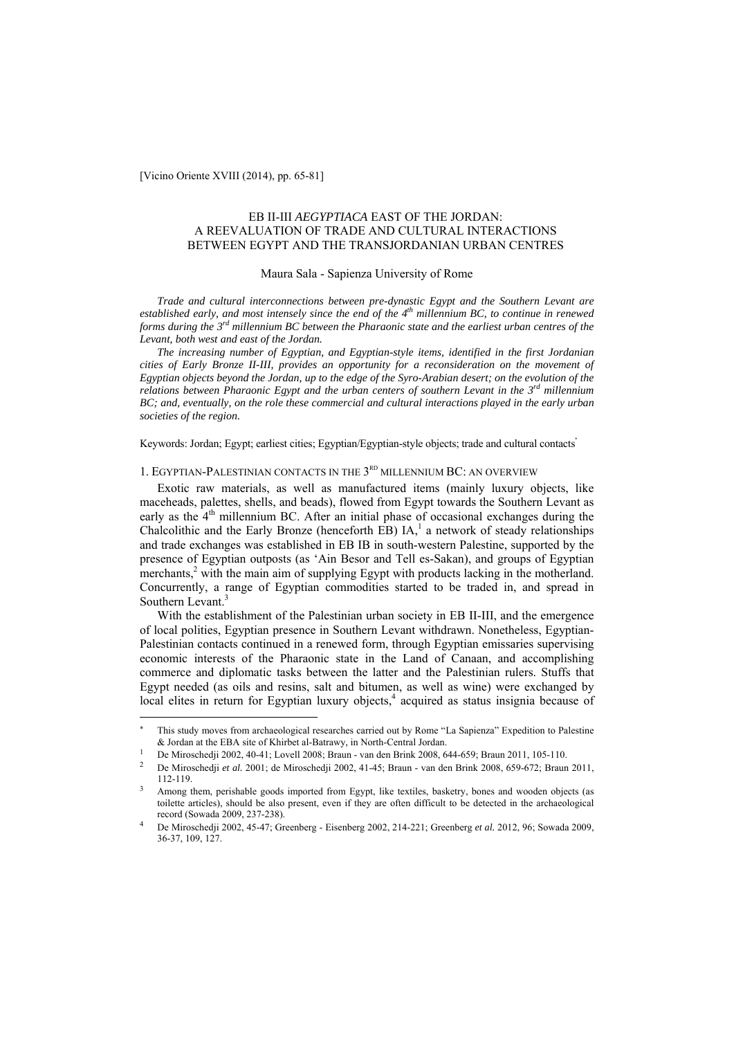[Vicino Oriente XVIII (2014), pp. 65-81]

 $\overline{a}$ 

# EB II-III *AEGYPTIACA* EAST OF THE JORDAN: A REEVALUATION OF TRADE AND CULTURAL INTERACTIONS BETWEEN EGYPT AND THE TRANSJORDANIAN URBAN CENTRES

## Maura Sala - Sapienza University of Rome

*Trade and cultural interconnections between pre-dynastic Egypt and the Southern Levant are*  established early, and most intensely since the end of the 4<sup>th</sup> millennium BC, to continue in renewed *forms during the 3rd millennium BC between the Pharaonic state and the earliest urban centres of the Levant, both west and east of the Jordan.* 

*The increasing number of Egyptian, and Egyptian-style items, identified in the first Jordanian cities of Early Bronze II-III, provides an opportunity for a reconsideration on the movement of Egyptian objects beyond the Jordan, up to the edge of the Syro-Arabian desert; on the evolution of the relations between Pharaonic Egypt and the urban centers of southern Levant in the 3rd millennium BC; and, eventually, on the role these commercial and cultural interactions played in the early urban societies of the region.* 

Keywords: Jordan; Egypt; earliest cities; Egyptian/Egyptian-style objects; trade and cultural contacts

# 1. EGYPTIAN-PALESTINIAN CONTACTS IN THE 3<sup>RD</sup> MILLENNIUM BC: AN OVERVIEW

Exotic raw materials, as well as manufactured items (mainly luxury objects, like maceheads, palettes, shells, and beads), flowed from Egypt towards the Southern Levant as early as the  $4<sup>th</sup>$  millennium BC. After an initial phase of occasional exchanges during the Chalcolithic and the Early Bronze (henceforth EB)  $IA<sub>1</sub><sup>1</sup>$  a network of steady relationships and trade exchanges was established in EB IB in south-western Palestine, supported by the presence of Egyptian outposts (as 'Ain Besor and Tell es-Sakan), and groups of Egyptian merchants,<sup>2</sup> with the main aim of supplying Egypt with products lacking in the motherland. Concurrently, a range of Egyptian commodities started to be traded in, and spread in Southern Levant.<sup>3</sup>

With the establishment of the Palestinian urban society in EB II-III, and the emergence of local polities, Egyptian presence in Southern Levant withdrawn. Nonetheless, Egyptian-Palestinian contacts continued in a renewed form, through Egyptian emissaries supervising economic interests of the Pharaonic state in the Land of Canaan, and accomplishing commerce and diplomatic tasks between the latter and the Palestinian rulers. Stuffs that Egypt needed (as oils and resins, salt and bitumen, as well as wine) were exchanged by local elites in return for Egyptian luxury objects,<sup>4</sup> acquired as status insignia because of

This study moves from archaeological researches carried out by Rome "La Sapienza" Expedition to Palestine

<sup>&</sup>amp; Jordan at the EBA site of Khirbet al-Batrawy, in North-Central Jordan.<br>De Miroschedji 2002, 40-41; Lovell 2008; Braun - van den Brink 2008, 644-659; Braun 2011, 105-110.<br>De Miroschedji *et al.* 2001; de Miroschedji 2002,

Among them, perishable goods imported from Egypt, like textiles, basketry, bones and wooden objects (as toilette articles), should be also present, even if they are often difficult to be detected in the archaeological record (Sowada 2009, 237-238). 4 De Miroschedji 2002, 45-47; Greenberg - Eisenberg 2002, 214-221; Greenberg *et al.* 2012, 96; Sowada 2009,

<sup>36-37, 109, 127.</sup>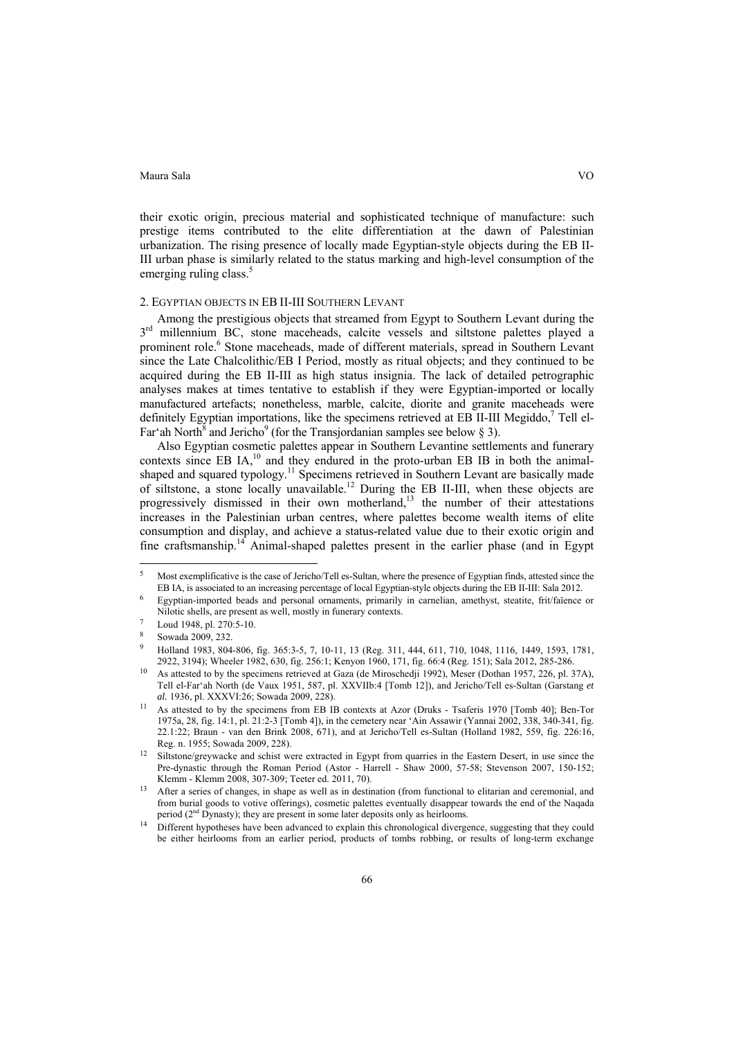their exotic origin, precious material and sophisticated technique of manufacture: such prestige items contributed to the elite differentiation at the dawn of Palestinian urbanization. The rising presence of locally made Egyptian-style objects during the EB II-III urban phase is similarly related to the status marking and high-level consumption of the emerging ruling class. $5$ 

# 2. EGYPTIAN OBJECTS IN EB II-III SOUTHERN LEVANT

Among the prestigious objects that streamed from Egypt to Southern Levant during the 3<sup>rd</sup> millennium BC, stone maceheads, calcite vessels and siltstone palettes played a prominent role.<sup>6</sup> Stone maceheads, made of different materials, spread in Southern Levant since the Late Chalcolithic/EB I Period, mostly as ritual objects; and they continued to be acquired during the EB II-III as high status insignia. The lack of detailed petrographic analyses makes at times tentative to establish if they were Egyptian-imported or locally manufactured artefacts; nonetheless, marble, calcite, diorite and granite maceheads were definitely Egyptian importations, like the specimens retrieved at EB II-III Megiddo,<sup>7</sup> Tell el-Far'ah North<sup>8</sup> and Jericho<sup>9</sup> (for the Transjordanian samples see below § 3).

Also Egyptian cosmetic palettes appear in Southern Levantine settlements and funerary contexts since EB IA, $^{10}$  and they endured in the proto-urban EB IB in both the animalshaped and squared typology.<sup>11</sup> Specimens retrieved in Southern Levant are basically made of siltstone, a stone locally unavailable.<sup>12</sup> During the EB II-III, when these objects are progressively dismissed in their own motherland, $13$  the number of their attestations increases in the Palestinian urban centres, where palettes become wealth items of elite consumption and display, and achieve a status-related value due to their exotic origin and fine craftsmanship.<sup>14</sup> Animal-shaped palettes present in the earlier phase (and in Egypt

 $\overline{a}$ 

Most exemplificative is the case of Jericho/Tell es-Sultan, where the presence of Egyptian finds, attested since the EB IA, is associated to an increasing percentage of local Egyptian-style objects during the EB II-III: Sa

Egyptian-imported beads and personal ornaments, primarily in carnelian, amethyst, steatite, frit/faïence or Nilotic shells, are present as well, mostly in funerary contexts.<br>Loud 1948, pl. 270:5-10.

Sowada 2009, 232.

<sup>9</sup> Holland 1983, 804-806, fig. 365:3-5, 7, 10-11, 13 (Reg. 311, 444, 611, 710, 1048, 1116, 1449, 1593, 1781,

As attested to by the specimens retrieved at Gaza (de Miroschedji 1992), Meser (Dothan 1957, 226, pl. 37A), Tell el-Far'ah North (de Vaux 1951, 587, pl. XXVIIb:4 [Tomb 12]), and Jericho/Tell es-Sultan (Garstang *et* 

*al.* 1936, pl. XXXVI:26; Sowada 2009, 228). 11 As attested to by the specimens from EB IB contexts at Azor (Druks - Tsaferis 1970 [Tomb 40]; Ben-Tor 1975a, 28, fig. 14:1, pl. 21:2-3 [Tomb 4]), in the cemetery near 'Ain Assawir (Yannai 2002, 338, 340-341, fig. 22.1:22; Braun - van den Brink 2008, 671), and at Jericho/Tell es-Sultan (Holland 1982, 559, fig. 226:16,

Reg. n. 1955; Sowada 2009, 228).<br>Siltstone/greywacke and schist were extracted in Egypt from quarries in the Eastern Desert, in use since the Pre-dynastic through the Roman Period (Astor - Harrell - Shaw 2000, 57-58; Stevenson 2007, 150-152; Klemm - Klemm 2008, 307-309; Teeter ed. 2011, 70).

After a series of changes, in shape as well as in destination (from functional to elitarian and ceremonial, and from burial goods to votive offerings), cosmetic palettes eventually disappear towards the end of the Naqada period (2<sup>nd</sup> Dynasty); they are present in some later deposits only as heirlooms.

<sup>&</sup>lt;sup>14</sup> Different hypotheses have been advanced to explain this chronological divergence, suggesting that they could be either heirlooms from an earlier period, products of tombs robbing, or results of long-term exchange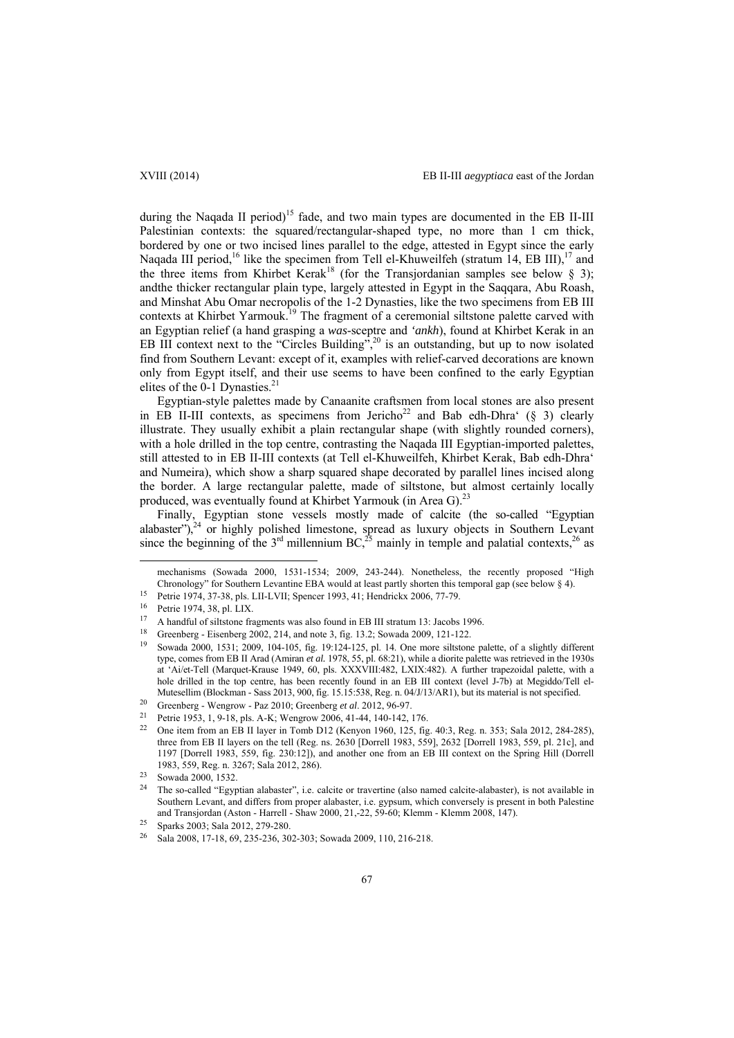during the Naqada II period)<sup>15</sup> fade, and two main types are documented in the EB II-III Palestinian contexts: the squared/rectangular-shaped type, no more than 1 cm thick, bordered by one or two incised lines parallel to the edge, attested in Egypt since the early Naqada III period,<sup>16</sup> like the specimen from Tell el-Khuweilfeh (stratum 14, EB III),<sup>17</sup> and the three items from Khirbet Kerak<sup>18</sup> (for the Transjordanian samples see below  $\S$  3); andthe thicker rectangular plain type, largely attested in Egypt in the Saqqara, Abu Roash, and Minshat Abu Omar necropolis of the 1-2 Dynasties, like the two specimens from EB III contexts at Khirbet Yarmouk.<sup>19</sup> The fragment of a ceremonial siltstone palette carved with an Egyptian relief (a hand grasping a *was*-sceptre and *'ankh*), found at Khirbet Kerak in an EB III context next to the "Circles Building",<sup>20</sup> is an outstanding, but up to now isolated find from Southern Levant: except of it, examples with relief-carved decorations are known only from Egypt itself, and their use seems to have been confined to the early Egyptian elites of the 0-1 Dynasties.<sup>21</sup>

Egyptian-style palettes made by Canaanite craftsmen from local stones are also present in EB II-III contexts, as specimens from Jericho<sup>22</sup> and Bab edh-Dhra'  $(\S 3)$  clearly illustrate. They usually exhibit a plain rectangular shape (with slightly rounded corners), with a hole drilled in the top centre, contrasting the Naqada III Egyptian-imported palettes, still attested to in EB II-III contexts (at Tell el-Khuweilfeh, Khirbet Kerak, Bab edh-Dhra' and Numeira), which show a sharp squared shape decorated by parallel lines incised along the border. A large rectangular palette, made of siltstone, but almost certainly locally produced, was eventually found at Khirbet Yarmouk (in Area G).<sup>23</sup>

Finally, Egyptian stone vessels mostly made of calcite (the so-called "Egyptian alabaster"), $^{24}$  or highly polished limestone, spread as luxury objects in Southern Levant since the beginning of the  $3<sup>rd</sup>$  millennium BC,<sup>25</sup> mainly in temple and palatial contexts,<sup>26</sup> as

mechanisms (Sowada 2000, 1531-1534; 2009, 243-244). Nonetheless, the recently proposed "High Chronology" for Southern Levantine EBA would at least partly shorten this temporal gap (see below § 4).<br><sup>15</sup> Petrie 1974, 37-38, pls. LII-LVII; Spencer 1993, 41; Hendrickx 2006, 77-79.

<sup>&</sup>lt;sup>16</sup> Petrie 1974, 38, pl. LIX.

<sup>&</sup>lt;sup>17</sup> A handful of siltstone fragments was also found in EB III stratum 13: Jacobs 1996.<br><sup>18</sup> Greenberg - Eisenberg 2002, 214, and note 3, fig. 13.2; Sowada 2009, 121-122.

Sowada 2000, 1531; 2009, 104-105, fig. 19:124-125, pl. 14. One more siltstone palette, of a slightly different type, comes from EB II Arad (Amiran *et al.* 1978, 55, pl. 68:21), while a diorite palette was retrieved in the 1930s at 'Ai/et-Tell (Marquet-Krause 1949, 60, pls. XXXVIII:482, LXIX:482). A further trapezoidal palette, with a hole drilled in the top centre, has been recently found in an EB III context (level J-7b) at Megiddo/Tell el-Mutesellim (Blockman - Sass 2013, 900, fig. 15.15:538, Reg. n. 04/J/13/AR1), but its material is not specified.<br><sup>20</sup> Greenberg - Wengrow - Paz 2010; Greenberg *et al.* 2012, 96-97.<br><sup>21</sup> Petrie 1953, 1, 9-18, pls. A-K; Weng

<sup>&</sup>lt;sup>22</sup> One item from an EB II layer in Tomb D12 (Kenyon 1960, 125, fig. 40:3, Reg. n. 353; Sala 2012, 284-285), three from EB II layers on the tell (Reg. ns. 2630 [Dorrell 1983, 559], 2632 [Dorrell 1983, 559, pl. 21c], and 1197 [Dorrell 1983, 559, fig. 230:12]), and another one from an EB III context on the Spring Hill (Dorrell 1983, 559, Reg. n. 3267; Sala 2012, 286).<br><sup>23</sup> Sowada 2000, 1532.

<sup>&</sup>lt;sup>24</sup> The so-called "Egyptian alabaster", i.e. calcite or travertine (also named calcite-alabaster), is not available in Southern Levant, and differs from proper alabaster, i.e. gypsum, which conversely is present in both Palestine and Transjordan (Aston - Harrell - Shaw 2000, 21,-22, 59-60; Klemm - Klemm 2008, 147).<br>Sparks 2003; Sala 2012, 279-280.

<sup>26</sup> Sala 2008, 17-18, 69, 235-236, 302-303; Sowada 2009, 110, 216-218.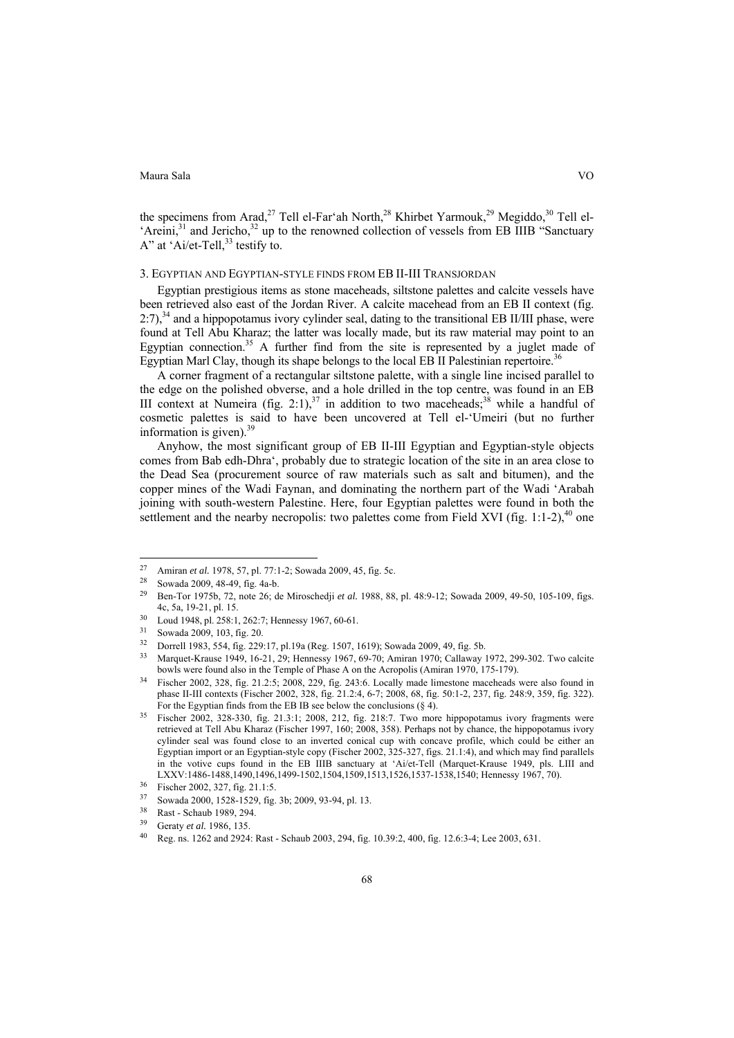the specimens from Arad,<sup>27</sup> Tell el-Far'ah North,<sup>28</sup> Khirbet Yarmouk,<sup>29</sup> Megiddo,<sup>30</sup> Tell el-'Areini, $31$  and Jericho, $32$  up to the renowned collection of vessels from EB IIIB "Sanctuary A" at 'Ai/et-Tell, $^{33}$  testify to.

# 3. EGYPTIAN AND EGYPTIAN-STYLE FINDS FROM EB II-III TRANSJORDAN

Egyptian prestigious items as stone maceheads, siltstone palettes and calcite vessels have been retrieved also east of the Jordan River. A calcite macehead from an EB II context (fig.  $2:7$ ),<sup>34</sup> and a hippopotamus ivory cylinder seal, dating to the transitional EB II/III phase, were found at Tell Abu Kharaz; the latter was locally made, but its raw material may point to an Egyptian connection.<sup>35</sup> A further find from the site is represented by a juglet made of Egyptian Marl Clay, though its shape belongs to the local EB II Palestinian repertoire.<sup>36</sup>

A corner fragment of a rectangular siltstone palette, with a single line incised parallel to the edge on the polished obverse, and a hole drilled in the top centre, was found in an EB III context at Numeira (fig. 2:1),<sup>37</sup> in addition to two maceheads;<sup>38</sup> while a handful of cosmetic palettes is said to have been uncovered at Tell el-'Umeiri (but no further information is given). $39$ 

Anyhow, the most significant group of EB II-III Egyptian and Egyptian-style objects comes from Bab edh-Dhra', probably due to strategic location of the site in an area close to the Dead Sea (procurement source of raw materials such as salt and bitumen), and the copper mines of the Wadi Faynan, and dominating the northern part of the Wadi 'Arabah joining with south-western Palestine. Here, four Egyptian palettes were found in both the settlement and the nearby necropolis: two palettes come from Field XVI (fig. 1:1-2),  $40$  one

<sup>27</sup> 27 Amiran *et al.* 1978, 57, pl. 77:1-2; Sowada 2009, 45, fig. 5c.<br><sup>28</sup> Sowada 2009, 48-49, fig. 4a-b.<br><sup>29</sup> Pen Ter 1975b, 72, asta 26: de Miresekedii et al. 1988, 88

<sup>29</sup> Ben-Tor 1975b, 72, note 26; de Miroschedji *et al.* 1988, 88, pl. 48:9-12; Sowada 2009, 49-50, 105-109, figs. 4c, 5a, 19-21, pl. 15.<br>
<sup>30</sup> Loud 1948, pl. 258:1, 262:7; Hennessy 1967, 60-61.<br>
<sup>31</sup> Sowada 2009, 103, fig. 20.<br>
<sup>32</sup> Darrell 1082, 554, fig. 200:17, pl. 103 (Reg. 1507, 1

<sup>32</sup> Dorrell 1983, 554, fig. 229:17, pl.19a (Reg. 1507, 1619); Sowada 2009, 49, fig. 5b.

<sup>33</sup> Marquet-Krause 1949, 16-21, 29; Hennessy 1967, 69-70; Amiran 1970; Callaway 1972, 299-302. Two calcite bowls were found also in the Temple of Phase A on the Acropolis (Amiran 1970, 175-179).<br><sup>34</sup> Fischer 2002, 328, fig. 21.2:5; 2008, 229, fig. 243:6. Locally made limestone maceheads were also found in

phase II-III contexts (Fischer 2002, 328, fig. 21.2:4, 6-7; 2008, 68, fig. 50:1-2, 237, fig. 248:9, 359, fig. 322).

For the Egyptian finds from the EB IB see below the conclusions (§ 4).<br><sup>35</sup> Fischer 2002, 328-330, fig. 21.3:1; 2008, 212, fig. 218:7. Two more hippopotamus ivory fragments were retrieved at Tell Abu Kharaz (Fischer 1997, 160; 2008, 358). Perhaps not by chance, the hippopotamus ivory cylinder seal was found close to an inverted conical cup with concave profile, which could be either an Egyptian import or an Egyptian-style copy (Fischer 2002, 325-327, figs. 21.1:4), and which may find parallels in the votive cups found in the EB IIIB sanctuary at 'Ai/et-Tell (Marquet-Krause 1949, pls. LIII and LXXV:1486-1488,1490,1496,1499-1502,1504,1509,1513,1526,1537-1538,1540; Hennessy 1967, 70).<br><sup>36</sup> Fischer 2002, 327, fig. 21.1:5.

<sup>37</sup> Sowada 2000, 1528-1529, fig. 3b; 2009, 93-94, pl. 13.

 $\frac{38}{39}$  Rast - Schaub 1989, 294.

Geraty *et al.* 1986, 135. Reg. ns. 1262 and 2924: Rast - Schaub 2003, 294, fig. 10.39:2, 400, fig. 12.6:3-4; Lee 2003, 631.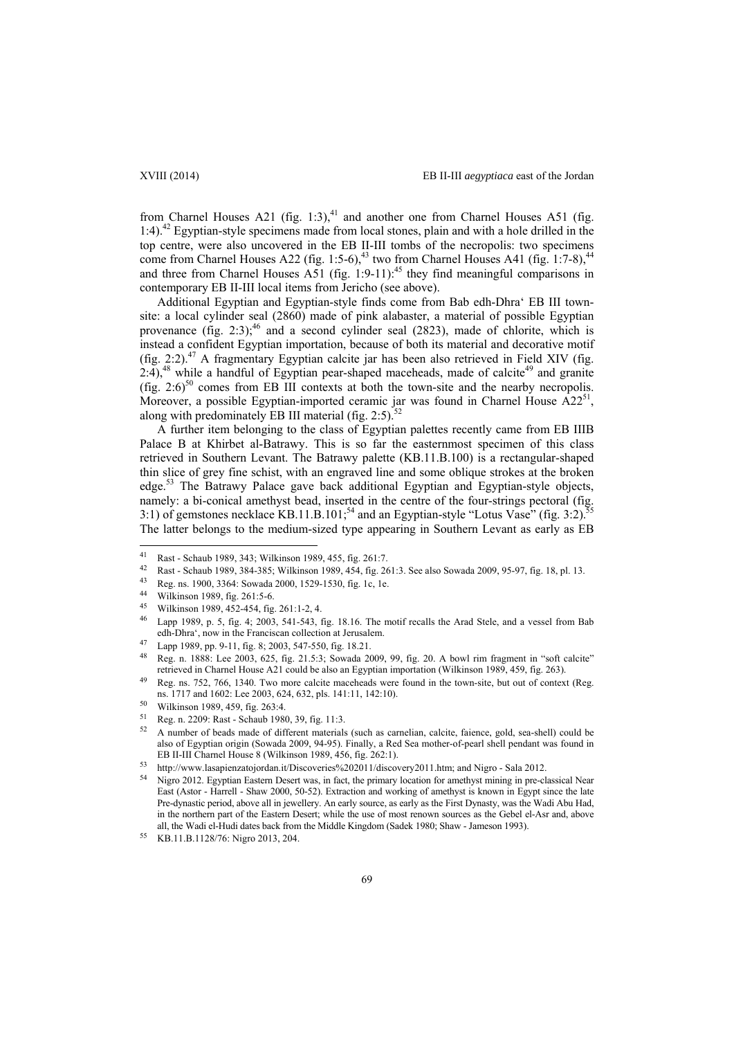from Charnel Houses A21 (fig. 1:3),<sup>41</sup> and another one from Charnel Houses A51 (fig. 1:4).42 Egyptian-style specimens made from local stones, plain and with a hole drilled in the top centre, were also uncovered in the EB II-III tombs of the necropolis: two specimens come from Charnel Houses A22 (fig. 1:5-6), $43$  two from Charnel Houses A41 (fig. 1:7-8), $44$ and three from Charnel Houses  $\overrightarrow{AS1}$  (fig. 1:9-11):<sup>45</sup> they find meaningful comparisons in contemporary EB II-III local items from Jericho (see above).

Additional Egyptian and Egyptian-style finds come from Bab edh-Dhra' EB III townsite: a local cylinder seal (2860) made of pink alabaster, a material of possible Egyptian provenance (fig. 2:3);  $46$  and a second cylinder seal (2823), made of chlorite, which is instead a confident Egyptian importation, because of both its material and decorative motif (fig. 2:2). $47$  A fragmentary Egyptian calcite jar has been also retrieved in Field XIV (fig.  $2:4$ ,<sup>48</sup> while a handful of Egyptian pear-shaped maceheads, made of calcite<sup>49</sup> and granite (fig. 2:6)<sup>50</sup> comes from EB III contexts at both the town-site and the nearby necropolis. Moreover, a possible Egyptian-imported ceramic jar was found in Charnel House  $A22^{51}$ , along with predominately EB III material (fig.  $2:5$ ).<sup>52</sup>

A further item belonging to the class of Egyptian palettes recently came from EB IIIB Palace B at Khirbet al-Batrawy. This is so far the easternmost specimen of this class retrieved in Southern Levant. The Batrawy palette (KB.11.B.100) is a rectangular-shaped thin slice of grey fine schist, with an engraved line and some oblique strokes at the broken edge.<sup>53</sup> The Batrawy Palace gave back additional Egyptian and Egyptian-style objects, namely: a bi-conical amethyst bead, inserted in the centre of the four-strings pectoral (fig. 3:1) of gemstones necklace KB.11.B.101;<sup>54</sup> and an Egyptian-style "Lotus Vase" (fig. 3:2).<sup>5</sup> The latter belongs to the medium-sized type appearing in Southern Levant as early as EB

 $41$ 41 Rast - Schaub 1989, 343; Wilkinson 1989, 455, fig. 261:7.<br>42 Rest Schaub 1989, 384, 385; Williams 1989, 454, 55, 26

<sup>42</sup> Rast - Schaub 1989, 384-385; Wilkinson 1989, 454, fig. 261:3. See also Sowada 2009, 95-97, fig. 18, pl. 13.<br><sup>43</sup> Reg. ns. 1900, 3364: Sowada 2000, 1529-1530, fig. 1c, 1e.<br><sup>44</sup> Wilkinson 1989, fig. 261:5-6.

<sup>45</sup> Wilkinson 1989, 452-454, fig. 261:1-2, 4.<br>46 J super 1989,  $\frac{5}{2}$ ,  $\frac{5}{2}$ , 4, 2002, 541, 542, 4

Lapp 1989, p. 5, fig. 4; 2003, 541-543, fig. 18.16. The motif recalls the Arad Stele, and a vessel from Bab edh-Dhra', now in the Franciscan collection at Jerusalem. 47 Lapp 1989, pp. 9-11, fig. 8; 2003, 547-550, fig. 18.21.

<sup>48</sup> Reg. n. 1888: Lee 2003, 625, fig. 21.5:3; Sowada 2009, 99, fig. 20. A bowl rim fragment in "soft calcite" retrieved in Charnel House A21 could be also an Egyptian importation (Wilkinson 1989, 459, fig. 263).<br><sup>49</sup> Reg. ns. 752, 766, 1340. Two more calcite maceheads were found in the town-site, but out of context (Reg.

ns. 1717 and 1602: Lee 2003, 624, 632, pls. 141:11, 142:10). 50 Wilkinson 1989, 459, fig. 263:4.

 $51$  Reg. n. 2209: Rast - Schaub 1980, 39, fig. 11:3.<br> $52$  A number of beads made of different materials (such as carnelian, calcite, faience, gold, sea-shell) could be also of Egyptian origin (Sowada 2009, 94-95). Finally, a Red Sea mother-of-pearl shell pendant was found in

http://www.lasapienzatojordan.it/Discoveries%202011/discovery2011.htm; and Nigro - Sala 2012.<br>Nigro 2012. Egyptian Eastern Desert was, in fact, the primary location for amethyst mining in pre-classical Near East (Astor - Harrell - Shaw 2000, 50-52). Extraction and working of amethyst is known in Egypt since the late Pre-dynastic period, above all in jewellery. An early source, as early as the First Dynasty, was the Wadi Abu Had, in the northern part of the Eastern Desert; while the use of most renown sources as the Gebel el-Asr and, above all, the Wadi el-Hudi dates back from the Middle Kingdom (Sadek 1980; Shaw - Jameson 1993). 55 KB.11.B.1128/76: Nigro 2013, 204.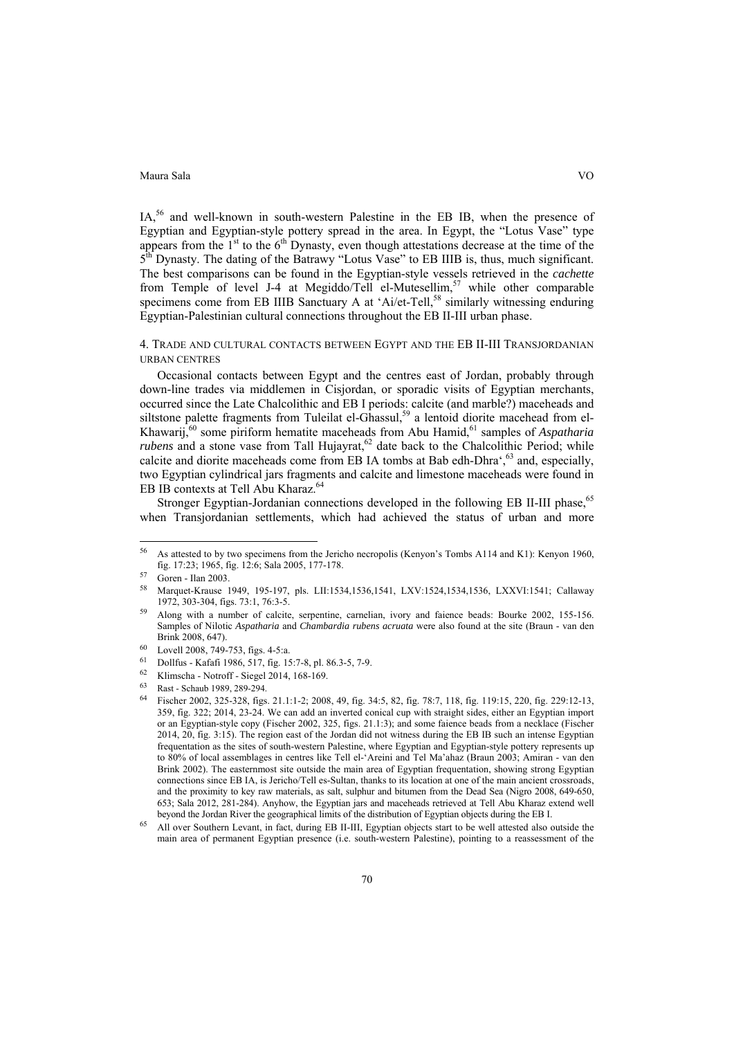IA,<sup>56</sup> and well-known in south-western Palestine in the EB IB, when the presence of Egyptian and Egyptian-style pottery spread in the area. In Egypt, the "Lotus Vase" type appears from the  $1<sup>st</sup>$  to the  $6<sup>th</sup>$  Dynasty, even though attestations decrease at the time of the 5<sup>th</sup> Dynasty. The dating of the Batrawy "Lotus Vase" to EB IIIB is, thus, much significant. The best comparisons can be found in the Egyptian-style vessels retrieved in the *cachette* from Temple of level J-4 at Megiddo/Tell el-Mutesellim,<sup>57</sup> while other comparable specimens come from EB IIIB Sanctuary A at 'Ai/et-Tell, $58$  similarly witnessing enduring Egyptian-Palestinian cultural connections throughout the EB II-III urban phase.

4. TRADE AND CULTURAL CONTACTS BETWEEN EGYPT AND THE EB II-III TRANSJORDANIAN URBAN CENTRES

Occasional contacts between Egypt and the centres east of Jordan, probably through down-line trades via middlemen in Cisjordan, or sporadic visits of Egyptian merchants, occurred since the Late Chalcolithic and EB I periods: calcite (and marble?) maceheads and siltstone palette fragments from Tuleilat el-Ghassul,<sup>59</sup> a lentoid diorite macehead from el-Khawarij,<sup>60</sup> some piriform hematite maceheads from Abu Hamid,<sup>61</sup> samples of *Aspatharia rubens* and a stone vase from Tall Hujayrat,<sup>62</sup> date back to the Chalcolithic Period; while calcite and diorite maceheads come from EB IA tombs at Bab edh-Dhra', <sup>63</sup> and, especially, two Egyptian cylindrical jars fragments and calcite and limestone maceheads were found in EB IB contexts at Tell Abu Kharaz.<sup>64</sup>

Stronger Egyptian-Jordanian connections developed in the following EB II-III phase,<sup>65</sup> when Transjordanian settlements, which had achieved the status of urban and more

 $\overline{a}$ 

<sup>56</sup> As attested to by two specimens from the Jericho necropolis (Kenyon's Tombs A114 and K1): Kenyon 1960, fig. 17:23; 1965, fig. 12:6; Sala 2005, 177-178. 57 Goren - Ilan 2003.

<sup>58</sup> Marquet-Krause 1949, 195-197, pls. LII:1534,1536,1541, LXV:1524,1534,1536, LXXVI:1541; Callaway 1972, 303-304, figs. 73:1, 76:3-5.<br>Along with a number of calcite, serpentine, carnelian, ivory and faience beads: Bourke 2002, 155-156.

Samples of Nilotic *Aspatharia* and *Chambardia rubens acruata* were also found at the site (Braun - van den

 $\begin{array}{ll}\n 60 & \text{Level 2008, 749-753, figs. 4-5:a. \\
 61 & \text{Delta Use } \text{Kof } 64, 1086, 517, fe. 18\n \end{array}$ 

<sup>61</sup> Dollfus - Kafafi 1986, 517, fig. 15:7-8, pl. 86.3-5, 7-9.

<sup>62</sup> Klimscha - Notroff - Siegel 2014, 168-169.

<sup>63</sup> Rast - Schaub 1989, 289-294.

<sup>64</sup> Fischer 2002, 325-328, figs. 21.1:1-2; 2008, 49, fig. 34:5, 82, fig. 78:7, 118, fig. 119:15, 220, fig. 229:12-13, 359, fig. 322; 2014, 23-24. We can add an inverted conical cup with straight sides, either an Egyptian import or an Egyptian-style copy (Fischer 2002, 325, figs. 21.1:3); and some faience beads from a necklace (Fischer 2014, 20, fig. 3:15). The region east of the Jordan did not witness during the EB IB such an intense Egyptian frequentation as the sites of south-western Palestine, where Egyptian and Egyptian-style pottery represents up to 80% of local assemblages in centres like Tell el-'Areini and Tel Ma'ahaz (Braun 2003; Amiran - van den Brink 2002). The easternmost site outside the main area of Egyptian frequentation, showing strong Egyptian connections since EB IA, is Jericho/Tell es-Sultan, thanks to its location at one of the main ancient crossroads, and the proximity to key raw materials, as salt, sulphur and bitumen from the Dead Sea (Nigro 2008, 649-650, 653; Sala 2012, 281-284). Anyhow, the Egyptian jars and maceheads retrieved at Tell Abu Kharaz extend well

beyond the Jordan River the geographical limits of the distribution of Egyptian objects during the EB I.<br><sup>65</sup> All over Southern Levant, in fact, during EB II-III, Egyptian objects start to be well attested also outside the main area of permanent Egyptian presence (i.e. south-western Palestine), pointing to a reassessment of the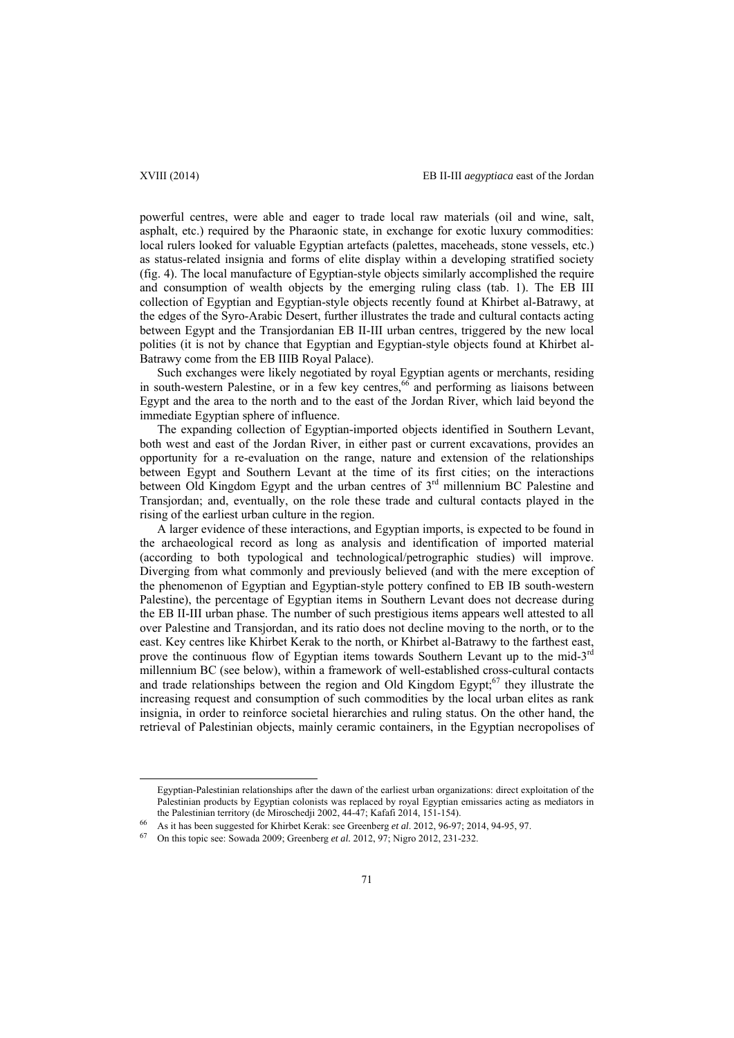powerful centres, were able and eager to trade local raw materials (oil and wine, salt, asphalt, etc.) required by the Pharaonic state, in exchange for exotic luxury commodities: local rulers looked for valuable Egyptian artefacts (palettes, maceheads, stone vessels, etc.) as status-related insignia and forms of elite display within a developing stratified society (fig. 4). The local manufacture of Egyptian-style objects similarly accomplished the require and consumption of wealth objects by the emerging ruling class (tab. 1). The EB III collection of Egyptian and Egyptian-style objects recently found at Khirbet al-Batrawy, at the edges of the Syro-Arabic Desert, further illustrates the trade and cultural contacts acting between Egypt and the Transjordanian EB II-III urban centres, triggered by the new local polities (it is not by chance that Egyptian and Egyptian-style objects found at Khirbet al-Batrawy come from the EB IIIB Royal Palace).

Such exchanges were likely negotiated by royal Egyptian agents or merchants, residing in south-western Palestine, or in a few key centres,<sup>66</sup> and performing as liaisons between Egypt and the area to the north and to the east of the Jordan River, which laid beyond the immediate Egyptian sphere of influence.

The expanding collection of Egyptian-imported objects identified in Southern Levant, both west and east of the Jordan River, in either past or current excavations, provides an opportunity for a re-evaluation on the range, nature and extension of the relationships between Egypt and Southern Levant at the time of its first cities; on the interactions between Old Kingdom Egypt and the urban centres of 3<sup>rd</sup> millennium BC Palestine and Transjordan; and, eventually, on the role these trade and cultural contacts played in the rising of the earliest urban culture in the region.

A larger evidence of these interactions, and Egyptian imports, is expected to be found in the archaeological record as long as analysis and identification of imported material (according to both typological and technological/petrographic studies) will improve. Diverging from what commonly and previously believed (and with the mere exception of the phenomenon of Egyptian and Egyptian-style pottery confined to EB IB south-western Palestine), the percentage of Egyptian items in Southern Levant does not decrease during the EB II-III urban phase. The number of such prestigious items appears well attested to all over Palestine and Transjordan, and its ratio does not decline moving to the north, or to the east. Key centres like Khirbet Kerak to the north, or Khirbet al-Batrawy to the farthest east, prove the continuous flow of Egyptian items towards Southern Levant up to the mid-3<sup>rd</sup> millennium BC (see below), within a framework of well-established cross-cultural contacts and trade relationships between the region and Old Kingdom Egypt; $67$  they illustrate the increasing request and consumption of such commodities by the local urban elites as rank insignia, in order to reinforce societal hierarchies and ruling status. On the other hand, the retrieval of Palestinian objects, mainly ceramic containers, in the Egyptian necropolises of

Egyptian-Palestinian relationships after the dawn of the earliest urban organizations: direct exploitation of the Palestinian products by Egyptian colonists was replaced by royal Egyptian emissaries acting as mediators in the Palestinian territory (de Miroschedji 2002, 44-47; Kafafi 2014, 151-154).<br>
As it has been suggested for Khirbet Kerak: see Greenberg *et al.* 2012, 96-97; 2014, 94-95, 97.<br>
<sup>67</sup> On this topic see: Sowada 2009; Greenbe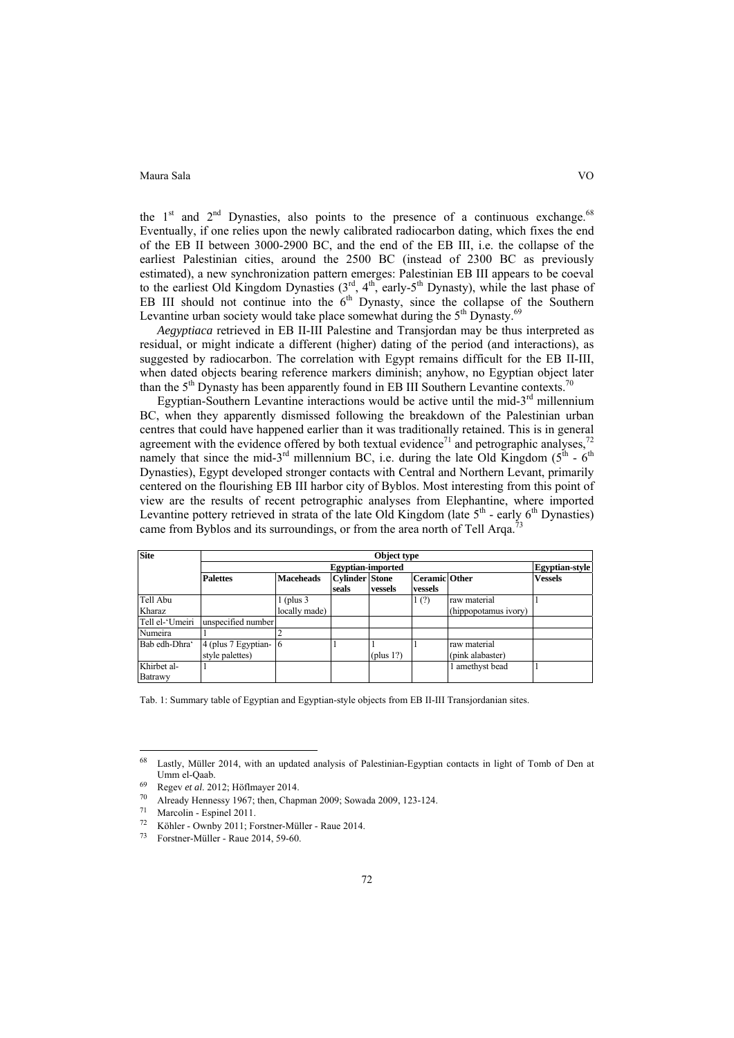the  $1<sup>st</sup>$  and  $2<sup>nd</sup>$  Dynasties, also points to the presence of a continuous exchange.<sup>68</sup> Eventually, if one relies upon the newly calibrated radiocarbon dating, which fixes the end of the EB II between 3000-2900 BC, and the end of the EB III, i.e. the collapse of the earliest Palestinian cities, around the 2500 BC (instead of 2300 BC as previously estimated), a new synchronization pattern emerges: Palestinian EB III appears to be coeval to the earliest Old Kingdom Dynasties  $(3<sup>rd</sup>, 4<sup>th</sup>,$  early-5<sup>th</sup> Dynasty), while the last phase of EB III should not continue into the  $6<sup>th</sup>$  Dynasty, since the collapse of the Southern Levantine urban society would take place somewhat during the  $5<sup>th</sup>$  Dynasty.<sup>69</sup>

*Aegyptiaca* retrieved in EB II-III Palestine and Transjordan may be thus interpreted as residual, or might indicate a different (higher) dating of the period (and interactions), as suggested by radiocarbon. The correlation with Egypt remains difficult for the EB II-III, when dated objects bearing reference markers diminish; anyhow, no Egyptian object later than the  $5<sup>th</sup>$  Dynasty has been apparently found in EB III Southern Levantine contexts.<sup>70</sup>

Egyptian-Southern Levantine interactions would be active until the mid- $3<sup>rd</sup>$  millennium BC, when they apparently dismissed following the breakdown of the Palestinian urban centres that could have happened earlier than it was traditionally retained. This is in general agreement with the evidence offered by both textual evidence<sup>71</sup> and petrographic analyses,<sup>72</sup> namely that since the mid-3<sup>rd</sup> millennium BC, i.e. during the late Old Kingdom ( $5<sup>th</sup> - 6<sup>th</sup>$ ) Dynasties), Egypt developed stronger contacts with Central and Northern Levant, primarily centered on the flourishing EB III harbor city of Byblos. Most interesting from this point of view are the results of recent petrographic analyses from Elephantine, where imported Levantine pottery retrieved in strata of the late Old Kingdom (late  $5<sup>th</sup>$  - early  $6<sup>th</sup>$  Dynasties) came from Byblos and its surroundings, or from the area north of Tell Arqa.<sup>7</sup>

| <b>Site</b>            | Object type                              |                       |                                |              |                                 |                                  |                |  |  |
|------------------------|------------------------------------------|-----------------------|--------------------------------|--------------|---------------------------------|----------------------------------|----------------|--|--|
|                        |                                          | <b>Egyptian-style</b> |                                |              |                                 |                                  |                |  |  |
|                        | <b>Palettes</b>                          | <b>Maceheads</b>      | <b>Cylinder Stone</b><br>seals | vessels      | <b>Ceramic Other</b><br>vessels |                                  | <b>Vessels</b> |  |  |
| Tell Abu               |                                          | $\lfloor$ (plus 3)    |                                |              | 1(2)                            | raw material                     |                |  |  |
| Kharaz                 |                                          | locally made)         |                                |              |                                 | (hippopotamus ivory)             |                |  |  |
| Tell el-'Umeiri        | unspecified number                       |                       |                                |              |                                 |                                  |                |  |  |
| Numeira                |                                          |                       |                                |              |                                 |                                  |                |  |  |
| Bab edh-Dhra'          | 4 (plus 7 Egyptian- 6<br>style palettes) |                       |                                | (plus $1$ ?) |                                 | raw material<br>(pink alabaster) |                |  |  |
| Khirbet al-<br>Batrawy |                                          |                       |                                |              |                                 | amethyst bead                    |                |  |  |

Tab. 1: Summary table of Egyptian and Egyptian-style objects from EB II-III Transjordanian sites.

 $\overline{a}$ 

<sup>68</sup> Lastly, Müller 2014, with an updated analysis of Palestinian-Egyptian contacts in light of Tomb of Den at Umm el-Qaab.<br>
<sup>69</sup> Regev *et al.* 2012; Höflmayer 2014.<br>
<sup>70</sup> Already Hennessy 1967; then, Chapman 2009; Sowada 2009, 123-124.

 $^{71}$  Marcolin - Espinel 2011.<br> $^{72}$  Vähler, Oyghy 2011: E.

Köhler - Ownby 2011; Forstner-Müller - Raue 2014.

<sup>73</sup> Forstner-Müller - Raue 2014, 59-60.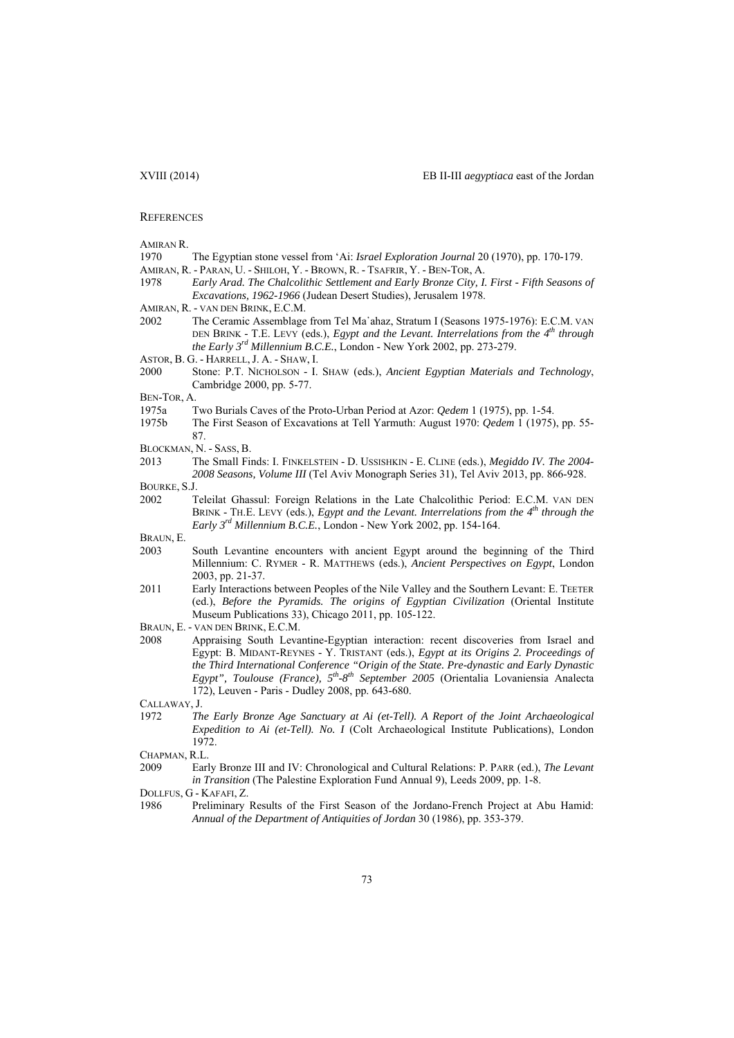#### **REFERENCES**

| Amiran R. |  |
|-----------|--|
|-----------|--|

- 1970 The Egyptian stone vessel from 'Ai: *Israel Exploration Journal* 20 (1970), pp. 170-179.
- AMIRAN, R. PARAN, U. SHILOH, Y. BROWN, R. TSAFRIR, Y. BEN-TOR, A.
- 1978 *Early Arad. The Chalcolithic Settlement and Early Bronze City, I. First Fifth Seasons of Excavations, 1962-1966* (Judean Desert Studies), Jerusalem 1978.
- AMIRAN, R. VAN DEN BRINK, E.C.M.
- 2002 The Ceramic Assemblage from Tel Ma᾽ahaz, Stratum I (Seasons 1975-1976): E.C.M. VAN DEN BRINK - T.E. LEVY (eds.), *Egypt and the Levant. Interrelations from the 4<sup>th</sup> through the Early 3rd Millennium B.C.E.*, London - New York 2002, pp. 273-279.
- ASTOR, B. G. HARRELL, J. A. SHAW, I.
- 2000 Stone: P.T. NICHOLSON I. SHAW (eds.), *Ancient Egyptian Materials and Technology*, Cambridge 2000, pp. 5-77.
- BEN-TOR, A.
- 1975a Two Burials Caves of the Proto-Urban Period at Azor: *Qedem* 1 (1975), pp. 1-54.
- 1975b The First Season of Excavations at Tell Yarmuth: August 1970: *Qedem* 1 (1975), pp. 55- 87.
- BLOCKMAN, N. SASS, B.
- 2013 The Small Finds: I. FINKELSTEIN D. USSISHKIN E. CLINE (eds.), *Megiddo IV. The 2004- 2008 Seasons, Volume III* (Tel Aviv Monograph Series 31), Tel Aviv 2013, pp. 866-928.
- BOURKE, S.J.
- 2002 Teleilat Ghassul: Foreign Relations in the Late Chalcolithic Period: E.C.M. VAN DEN BRINK - TH.E. LEVY (eds.), *Egypt and the Levant. Interrelations from the 4th through the Early 3rd Millennium B.C.E.*, London - New York 2002, pp. 154-164.

BRAUN, E.

- 2003 South Levantine encounters with ancient Egypt around the beginning of the Third Millennium: C. RYMER - R. MATTHEWS (eds.), *Ancient Perspectives on Egypt*, London 2003, pp. 21-37.
- 2011 Early Interactions between Peoples of the Nile Valley and the Southern Levant: E. TEETER (ed.), *Before the Pyramids. The origins of Egyptian Civilization* (Oriental Institute Museum Publications 33), Chicago 2011, pp. 105-122.
- BRAUN, E. VAN DEN BRINK, E.C.M.
- 2008 Appraising South Levantine-Egyptian interaction: recent discoveries from Israel and Egypt: B. MIDANT-REYNES - Y. TRISTANT (eds.), *Egypt at its Origins 2. Proceedings of the Third International Conference "Origin of the State. Pre-dynastic and Early Dynastic Egypt", Toulouse (France), 5th-8th September 2005* (Orientalia Lovaniensia Analecta 172), Leuven - Paris - Dudley 2008, pp. 643-680.

CALLAWAY, J.

1972 *The Early Bronze Age Sanctuary at Ai (et-Tell). A Report of the Joint Archaeological Expedition to Ai (et-Tell). No. I* (Colt Archaeological Institute Publications), London 1972.

CHAPMAN, R.L.

2009 Early Bronze III and IV: Chronological and Cultural Relations: P. PARR (ed.), *The Levant in Transition* (The Palestine Exploration Fund Annual 9), Leeds 2009, pp. 1-8.

# DOLLFUS, G - KAFAFI, Z.

1986 Preliminary Results of the First Season of the Jordano-French Project at Abu Hamid: *Annual of the Department of Antiquities of Jordan* 30 (1986), pp. 353-379.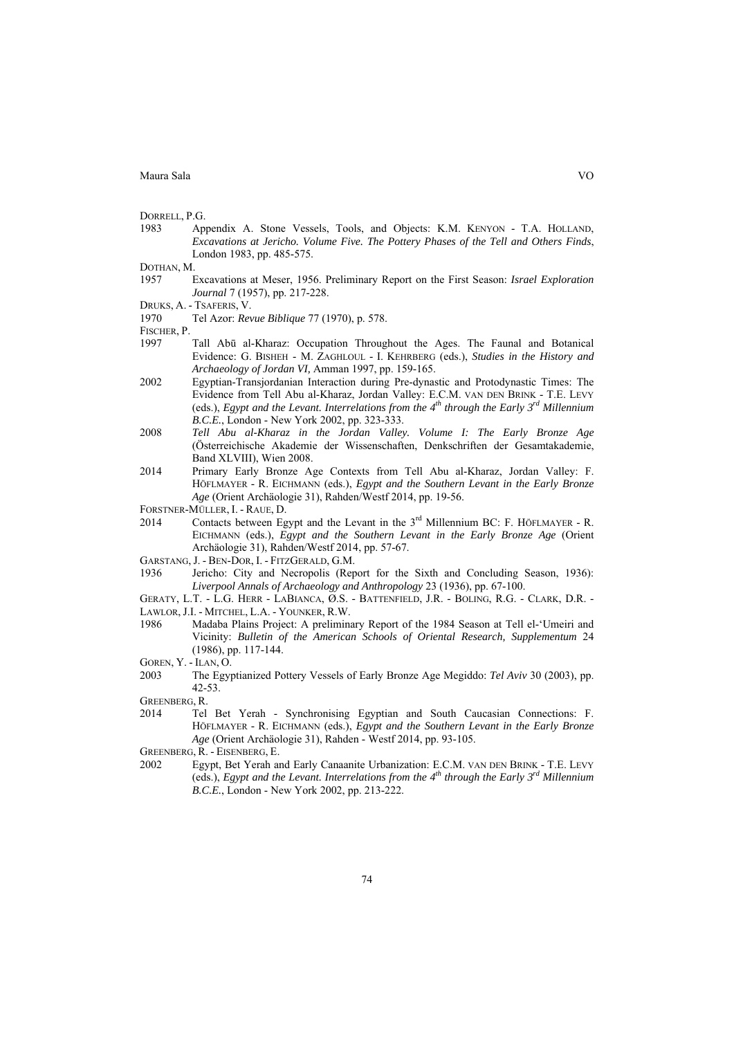DORRELL, P.G.

- 1983 Appendix A. Stone Vessels, Tools, and Objects: K.M. KENYON T.A. HOLLAND, *Excavations at Jericho. Volume Five. The Pottery Phases of the Tell and Others Finds*, London 1983, pp. 485-575.
- DOTHAN, M.
- 1957 Excavations at Meser, 1956. Preliminary Report on the First Season: *Israel Exploration Journal* 7 (1957), pp. 217-228.
- DRUKS, A. TSAFERIS, V.
- 1970 Tel Azor: *Revue Biblique* 77 (1970), p. 578.
- 
- FISCHER, P.<br>1997 Tall Abū al-Kharaz: Occupation Throughout the Ages. The Faunal and Botanical Evidence: G. BISHEH - M. ZAGHLOUL - I. KEHRBERG (eds.), *Studies in the History and Archaeology of Jordan VI,* Amman 1997, pp. 159-165.
- 2002 Egyptian-Transjordanian Interaction during Pre-dynastic and Protodynastic Times: The Evidence from Tell Abu al-Kharaz, Jordan Valley: E.C.M. VAN DEN BRINK - T.E. LEVY (eds.), *Egypt and the Levant. Interrelations from the 4th through the Early 3rd Millennium B.C.E.*, London - New York 2002, pp. 323-333.
- 2008 *Tell Abu al-Kharaz in the Jordan Valley. Volume I: The Early Bronze Age* (Österreichische Akademie der Wissenschaften, Denkschriften der Gesamtakademie, Band XLVIII), Wien 2008.
- 2014 Primary Early Bronze Age Contexts from Tell Abu al-Kharaz, Jordan Valley: F. HÖFLMAYER - R. EICHMANN (eds.), *Egypt and the Southern Levant in the Early Bronze Age* (Orient Archäologie 31), Rahden/Westf 2014, pp. 19-56.
- FORSTNER-MÜLLER, I. RAUE, D.
- 2014 Contacts between Egypt and the Levant in the  $3<sup>rd</sup>$  Millennium BC: F. HÖFLMAYER R. EICHMANN (eds.), *Egypt and the Southern Levant in the Early Bronze Age* (Orient Archäologie 31), Rahden/Westf 2014, pp. 57-67.
- GARSTANG, J. BEN-DOR, I. FITZGERALD, G.M.
- 1936 Jericho: City and Necropolis (Report for the Sixth and Concluding Season, 1936): *Liverpool Annals of Archaeology and Anthropology* 23 (1936), pp. 67-100.
- GERATY, L.T. L.G. HERR LABIANCA, Ø.S. BATTENFIELD, J.R. BOLING, R.G. CLARK, D.R. LAWLOR, J.I. - MITCHEL, L.A. - YOUNKER, R.W.
- 1986 Madaba Plains Project: A preliminary Report of the 1984 Season at Tell el-'Umeiri and Vicinity: *Bulletin of the American Schools of Oriental Research, Supplementum* 24 (1986), pp. 117-144.
- GOREN, Y. ILAN, O.
- 2003 The Egyptianized Pottery Vessels of Early Bronze Age Megiddo: *Tel Aviv* 30 (2003), pp. 42-53.
- GREENBERG, R.
- 2014 Tel Bet Yerah Synchronising Egyptian and South Caucasian Connections: F. HÖFLMAYER - R. EICHMANN (eds.), *Egypt and the Southern Levant in the Early Bronze Age* (Orient Archäologie 31), Rahden - Westf 2014, pp. 93-105.
- GREENBERG, R. EISENBERG, E.
- 2002 Egypt, Bet Yerah and Early Canaanite Urbanization: E.C.M. VAN DEN BRINK T.E. LEVY (eds.), *Egypt and the Levant. Interrelations from the*  $4<sup>th</sup>$  *through the Early 3<sup>rd</sup> Millennium B.C.E.*, London - New York 2002, pp. 213-222.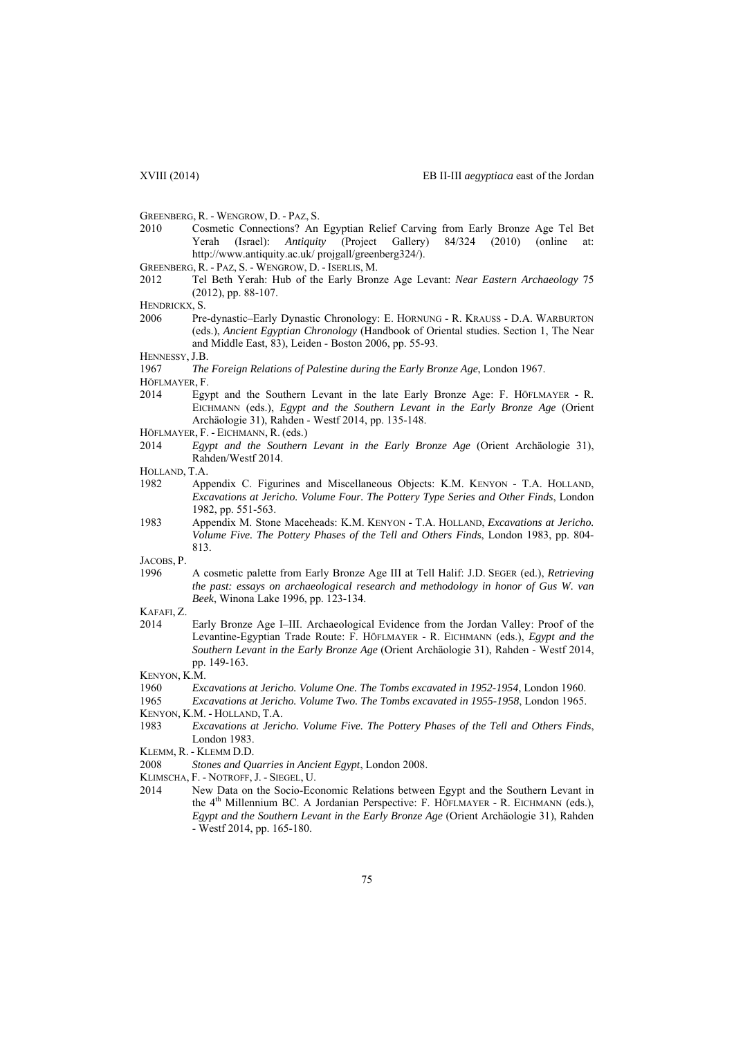GREENBERG, R. - WENGROW, D. - PAZ, S.

- 2010 Cosmetic Connections? An Egyptian Relief Carving from Early Bronze Age Tel Bet Yerah (Israel): *Antiquity* (Project Gallery) 84/324 (2010) (online at: http://www.antiquity.ac.uk/ projgall/greenberg324/).
- GREENBERG, R. PAZ, S. WENGROW, D. ISERLIS, M.
- 2012 Tel Beth Yerah: Hub of the Early Bronze Age Levant: *Near Eastern Archaeology* 75 (2012), pp. 88-107.
- HENDRICKX, S.
- 2006 Pre-dynastic–Early Dynastic Chronology: E. HORNUNG R. KRAUSS D.A. WARBURTON (eds.), *Ancient Egyptian Chronology* (Handbook of Oriental studies. Section 1, The Near and Middle East, 83), Leiden - Boston 2006, pp. 55-93.

HENNESSY, J.B.

1967 *The Foreign Relations of Palestine during the Early Bronze Age*, London 1967.

HÖFLMAYER, F.

- 2014 Egypt and the Southern Levant in the late Early Bronze Age: F. HÖFLMAYER R. EICHMANN (eds.), *Egypt and the Southern Levant in the Early Bronze Age* (Orient Archäologie 31), Rahden - Westf 2014, pp. 135-148.
- HÖFLMAYER, F. EICHMANN, R. (eds.)
- 2014 *Egypt and the Southern Levant in the Early Bronze Age* (Orient Archäologie 31), Rahden/Westf 2014.
- HOLLAND, T.A.
- 1982 Appendix C. Figurines and Miscellaneous Objects: K.M. KENYON T.A. HOLLAND, *Excavations at Jericho. Volume Four. The Pottery Type Series and Other Finds*, London 1982, pp. 551-563.
- 1983 Appendix M. Stone Maceheads: K.M. KENYON T.A. HOLLAND, *Excavations at Jericho. Volume Five. The Pottery Phases of the Tell and Others Finds*, London 1983, pp. 804- 813.

JACOBS, P.

- 1996 A cosmetic palette from Early Bronze Age III at Tell Halif: J.D. SEGER (ed.), *Retrieving the past: essays on archaeological research and methodology in honor of Gus W. van Beek*, Winona Lake 1996, pp. 123-134.
- KAFAFI, Z.
- 2014 Early Bronze Age I–III. Archaeological Evidence from the Jordan Valley: Proof of the Levantine-Egyptian Trade Route: F. HÖFLMAYER - R. EICHMANN (eds.), *Egypt and the Southern Levant in the Early Bronze Age* (Orient Archäologie 31), Rahden - Westf 2014, pp. 149-163.
- KENYON, K.M.
- 1960 *Excavations at Jericho. Volume One. The Tombs excavated in 1952-1954*, London 1960.
- 1965 *Excavations at Jericho. Volume Two. The Tombs excavated in 1955-1958*, London 1965.
- KENYON, K.M. HOLLAND, T.A.
- 1983 *Excavations at Jericho. Volume Five. The Pottery Phases of the Tell and Others Finds*, London 1983.

- 2008 *Stones and Quarries in Ancient Egypt*, London 2008.
- KLIMSCHA, F. NOTROFF, J. SIEGEL, U.
- 2014 New Data on the Socio-Economic Relations between Egypt and the Southern Levant in the 4<sup>th</sup> Millennium BC. A Jordanian Perspective: F. HÖFLMAYER - R. EICHMANN (eds.), *Egypt and the Southern Levant in the Early Bronze Age* (Orient Archäologie 31), Rahden - Westf 2014, pp. 165-180.

KLEMM, R. - KLEMM D.D.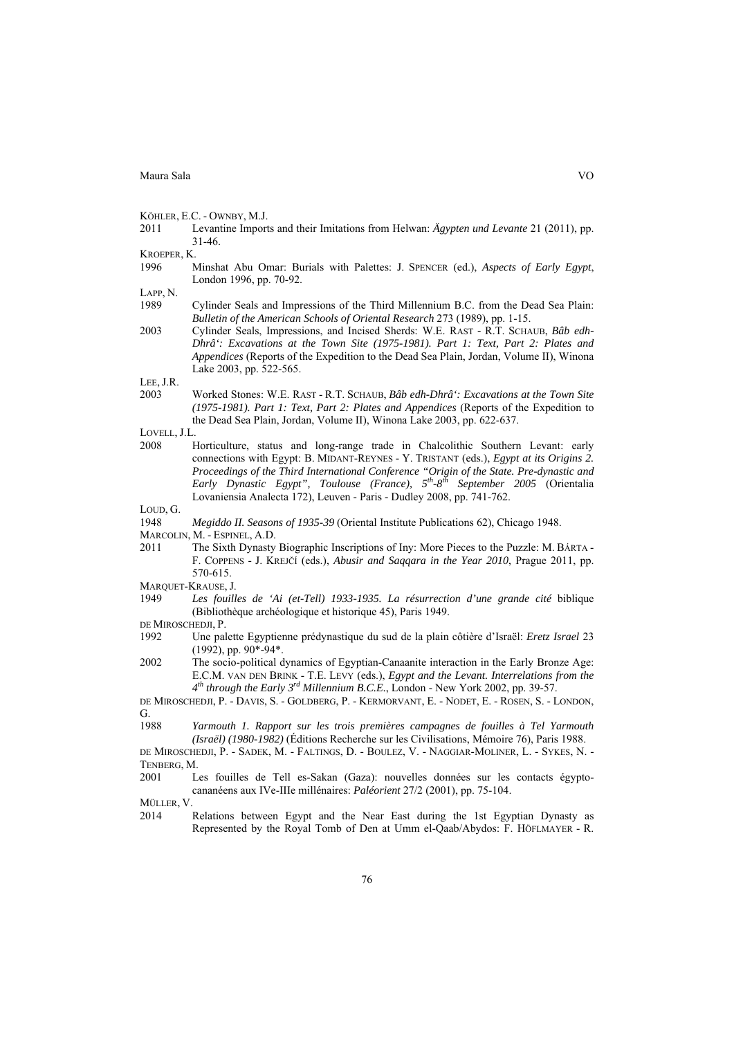|  |  | KÖHLER, E.C. - OWNBY, M.J. |  |
|--|--|----------------------------|--|
|--|--|----------------------------|--|

2011 Levantine Imports and their Imitations from Helwan: *Ägypten und Levante* 21 (2011), pp. 31-46.

KROEPER, K.

1996 Minshat Abu Omar: Burials with Palettes: J. SPENCER (ed.), *Aspects of Early Egypt*, London 1996, pp. 70-92.

LAPP, N.

- 1989 Cylinder Seals and Impressions of the Third Millennium B.C. from the Dead Sea Plain: *Bulletin of the American Schools of Oriental Research* 273 (1989), pp. 1-15.
- 2003 Cylinder Seals, Impressions, and Incised Sherds: W.E. RAST R.T. SCHAUB, *Bâb edh-Dhrâ': Excavations at the Town Site (1975-1981). Part 1: Text, Part 2: Plates and Appendices* (Reports of the Expedition to the Dead Sea Plain, Jordan, Volume II), Winona Lake 2003, pp. 522-565.

LEE, J.R.

2003 Worked Stones: W.E. RAST - R.T. SCHAUB, *Bâb edh-Dhrâ': Excavations at the Town Site (1975-1981). Part 1: Text, Part 2: Plates and Appendices* (Reports of the Expedition to the Dead Sea Plain, Jordan, Volume II), Winona Lake 2003, pp. 622-637.

LOVELL, J.L.

2008 Horticulture, status and long-range trade in Chalcolithic Southern Levant: early connections with Egypt: B. MIDANT-REYNES - Y. TRISTANT (eds.), *Egypt at its Origins 2. Proceedings of the Third International Conference "Origin of the State. Pre-dynastic and Early Dynastic Egypt", Toulouse (France), 5th-8th September 2005* (Orientalia Lovaniensia Analecta 172), Leuven - Paris - Dudley 2008, pp. 741-762.

LOUD, G.

- 1948 *Megiddo II. Seasons of 1935-39* (Oriental Institute Publications 62), Chicago 1948.
- MARCOLIN, M. ESPINEL, A.D.
- 2011 The Sixth Dynasty Biographic Inscriptions of Iny: More Pieces to the Puzzle: M. BÁRTA F. COPPENS - J. KREJČÍ (eds.), *Abusir and Saqqara in the Year 2010*, Prague 2011, pp. 570-615.

MARQUET-KRAUSE, J.

1949 *Les fouilles de 'Ai (et-Tell) 1933-1935. La résurrection d'une grande cité* biblique (Bibliothèque archéologique et historique 45), Paris 1949.

DE MIROSCHEDJI, P.

- 1992 Une palette Egyptienne prédynastique du sud de la plain côtière d'Israël: *Eretz Israel* 23 (1992), pp. 90\*-94\*.
- 2002 The socio-political dynamics of Egyptian-Canaanite interaction in the Early Bronze Age: E.C.M. VAN DEN BRINK - T.E. LEVY (eds.), *Egypt and the Levant. Interrelations from the 4th through the Early 3rd Millennium B.C.E.*, London - New York 2002, pp. 39-57.

DE MIROSCHEDJI, P. - DAVIS, S. - GOLDBERG, P. - KERMORVANT, E. - NODET, E. - ROSEN, S. - LONDON, G.

1988 *Yarmouth 1. Rapport sur les trois premières campagnes de fouilles à Tel Yarmouth (Israël) (1980-1982)* (Éditions Recherche sur les Civilisations, Mémoire 76), Paris 1988.

DE MIROSCHEDJI, P. - SADEK, M. - FALTINGS, D. - BOULEZ, V. - NAGGIAR-MOLINER, L. - SYKES, N. - TENBERG, M.

MÜLLER, V.

<sup>2001</sup> Les fouilles de Tell es-Sakan (Gaza): nouvelles données sur les contacts égyptocananéens aux IVe-IIIe millénaires: *Paléorient* 27/2 (2001), pp. 75-104.

<sup>2014</sup> Relations between Egypt and the Near East during the 1st Egyptian Dynasty as Represented by the Royal Tomb of Den at Umm el-Qaab/Abydos: F. HÖFLMAYER - R.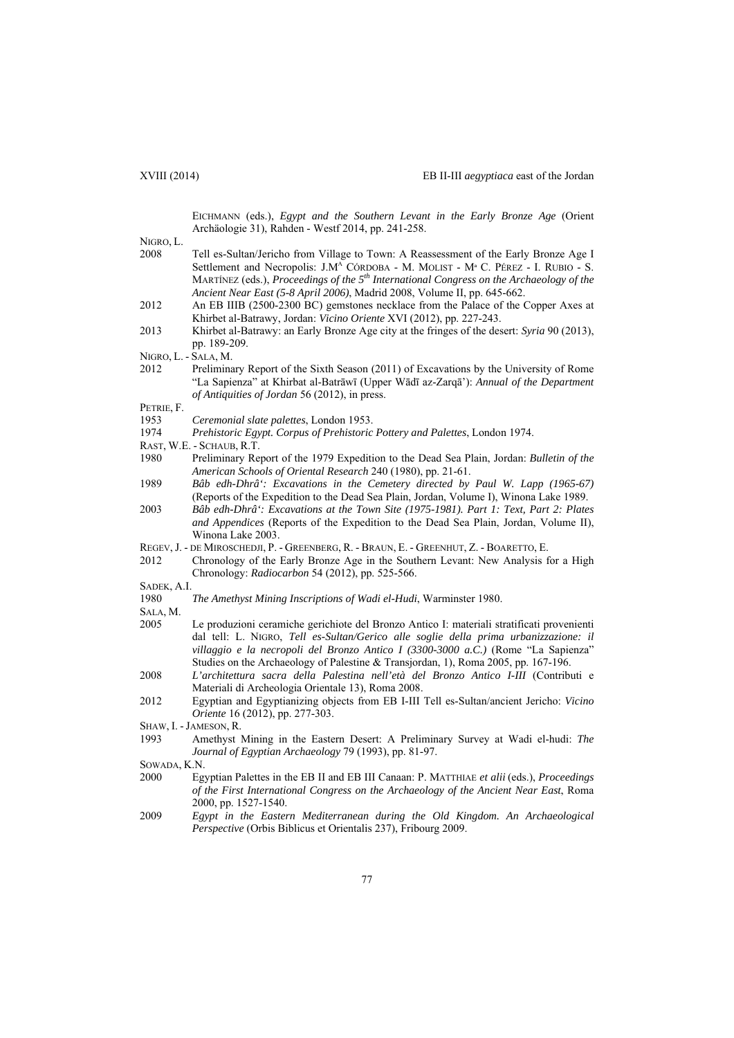EICHMANN (eds.), *Egypt and the Southern Levant in the Early Bronze Age* (Orient Archäologie 31), Rahden - Westf 2014, pp. 241-258.

NIGRO, L.

| 2008 | Tell es-Sultan/Jericho from Village to Town: A Reassessment of the Early Bronze Age I                     |
|------|-----------------------------------------------------------------------------------------------------------|
|      | Settlement and Necropolis: J.M <sup>A</sup> CÓRDOBA - M. MOLIST - M <sup>a</sup> C. PÉREZ - I. RUBIO - S. |
|      | MARTÍNEZ (eds.), Proceedings of the $5th$ International Congress on the Archaeology of the                |
|      | Ancient Near East (5-8 April 2006), Madrid 2008, Volume II, pp. 645-662.                                  |

- 2012 An EB IIIB (2500-2300 BC) gemstones necklace from the Palace of the Copper Axes at Khirbet al-Batrawy, Jordan: *Vicino Oriente* XVI (2012), pp. 227-243.
- 2013 Khirbet al-Batrawy: an Early Bronze Age city at the fringes of the desert: *Syria* 90 (2013), pp. 189-209.

NIGRO, L. - SALA, M.

2012 Preliminary Report of the Sixth Season (2011) of Excavations by the University of Rome "La Sapienza" at Khirbat al-Batrāwī (Upper Wādī az-Zarqā'): *Annual of the Department of Antiquities of Jordan* 56 (2012), in press.

PETRIE, F.

- 1953 *Ceremonial slate palettes*, London 1953.
- 1974 *Prehistoric Egypt. Corpus of Prehistoric Pottery and Palettes*, London 1974.
- RAST, W.E. SCHAUB, R.T.
- 1980 Preliminary Report of the 1979 Expedition to the Dead Sea Plain, Jordan: *Bulletin of the American Schools of Oriental Research* 240 (1980), pp. 21-61.
- 1989 *Bâb edh-Dhrâ': Excavations in the Cemetery directed by Paul W. Lapp (1965-67)* (Reports of the Expedition to the Dead Sea Plain, Jordan, Volume I), Winona Lake 1989.
- 2003 *Bâb edh-Dhrâ': Excavations at the Town Site (1975-1981). Part 1: Text, Part 2: Plates and Appendices* (Reports of the Expedition to the Dead Sea Plain, Jordan, Volume II), Winona Lake 2003.
- REGEV, J. DE MIROSCHEDJI, P. GREENBERG, R. BRAUN, E. GREENHUT, Z. BOARETTO, E.
- 2012 Chronology of the Early Bronze Age in the Southern Levant: New Analysis for a High Chronology: *Radiocarbon* 54 (2012), pp. 525-566.
- SADEK, A.I.
- 1980 *The Amethyst Mining Inscriptions of Wadi el-Hudi*, Warminster 1980.
- SALA, M.
- 2005 Le produzioni ceramiche gerichiote del Bronzo Antico I: materiali stratificati provenienti dal tell: L. NIGRO, *Tell es-Sultan/Gerico alle soglie della prima urbanizzazione: il villaggio e la necropoli del Bronzo Antico I (3300-3000 a.C.)* (Rome "La Sapienza" Studies on the Archaeology of Palestine & Transjordan, 1), Roma 2005, pp. 167-196.
- 2008 *L'architettura sacra della Palestina nell'età del Bronzo Antico I-III* (Contributi e Materiali di Archeologia Orientale 13), Roma 2008.
- 2012 Egyptian and Egyptianizing objects from EB I-III Tell es-Sultan/ancient Jericho: *Vicino Oriente* 16 (2012), pp. 277-303.
- SHAW, I. -JAMESON, R.
- 1993 Amethyst Mining in the Eastern Desert: A Preliminary Survey at Wadi el-hudi: *The Journal of Egyptian Archaeology* 79 (1993), pp. 81-97.

SOWADA, K.N.

- 2000 Egyptian Palettes in the EB II and EB III Canaan: P. MATTHIAE *et alii* (eds.), *Proceedings of the First International Congress on the Archaeology of the Ancient Near East*, Roma 2000, pp. 1527-1540.
- 2009 *Egypt in the Eastern Mediterranean during the Old Kingdom. An Archaeological Perspective* (Orbis Biblicus et Orientalis 237), Fribourg 2009.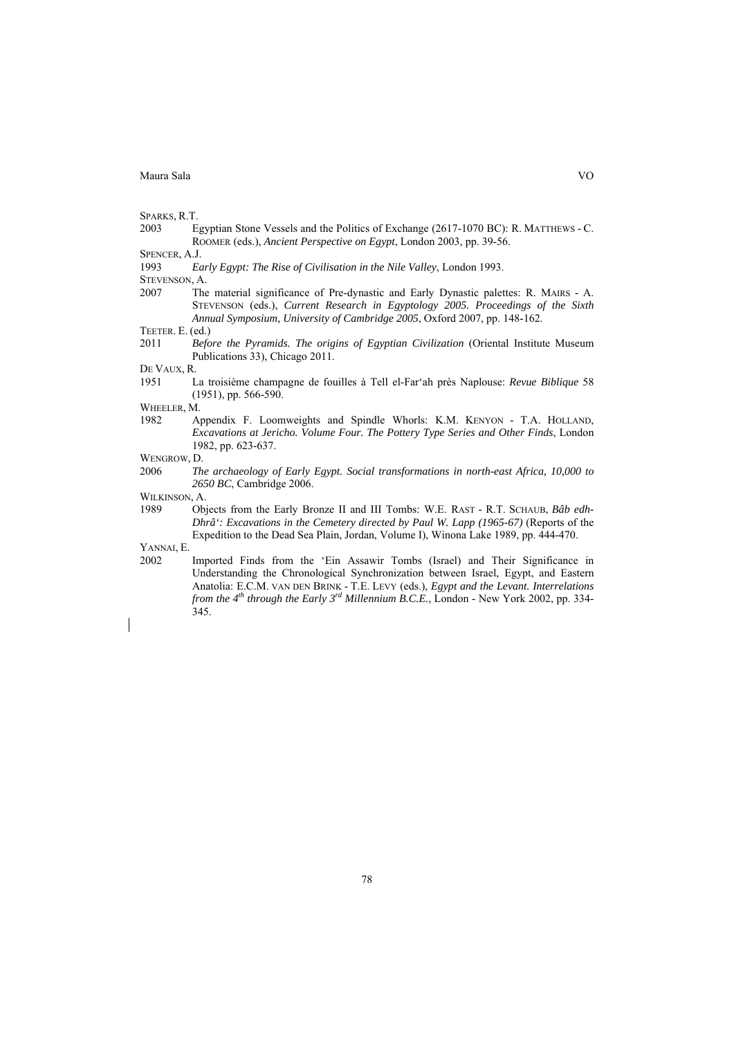SPARKS, R.T.

2003 Egyptian Stone Vessels and the Politics of Exchange (2617-1070 BC): R. MATTHEWS - C. ROOMER (eds.), *Ancient Perspective on Egypt*, London 2003, pp. 39-56.

SPENCER, A.J.

1993 *Early Egypt: The Rise of Civilisation in the Nile Valley*, London 1993.

- STEVENSON, A.
- 2007 The material significance of Pre-dynastic and Early Dynastic palettes: R. MAIRS A. STEVENSON (eds.), *Current Research in Egyptology 2005. Proceedings of the Sixth Annual Symposium, University of Cambridge 2005*, Oxford 2007, pp. 148-162.

2011 *Before the Pyramids. The origins of Egyptian Civilization* (Oriental Institute Museum Publications 33), Chicago 2011.

DE VAUX, R.

1951 La troisième champagne de fouilles à Tell el-Far'ah près Naplouse: *Revue Biblique* 58 (1951), pp. 566-590.

WHEELER, M.

1982 Appendix F. Loomweights and Spindle Whorls: K.M. KENYON - T.A. HOLLAND, *Excavations at Jericho. Volume Four. The Pottery Type Series and Other Finds*, London 1982, pp. 623-637.

WENGROW, D.

2006 *The archaeology of Early Egypt. Social transformations in north-east Africa, 10,000 to 2650 BC*, Cambridge 2006.

WILKINSON, A.

1989 Objects from the Early Bronze II and III Tombs: W.E. RAST - R.T. SCHAUB, *Bâb edh-Dhrâ': Excavations in the Cemetery directed by Paul W. Lapp (1965-67)* (Reports of the Expedition to the Dead Sea Plain, Jordan, Volume I), Winona Lake 1989, pp. 444-470.

YANNAI, E.

2002 Imported Finds from the 'Ein Assawir Tombs (Israel) and Their Significance in Understanding the Chronological Synchronization between Israel, Egypt, and Eastern Anatolia: E.C.M. VAN DEN BRINK - T.E. LEVY (eds.), *Egypt and the Levant. Interrelations from the 4th through the Early 3rd Millennium B.C.E.*, London - New York 2002, pp. 334- 345.

TEETER. E. (ed.)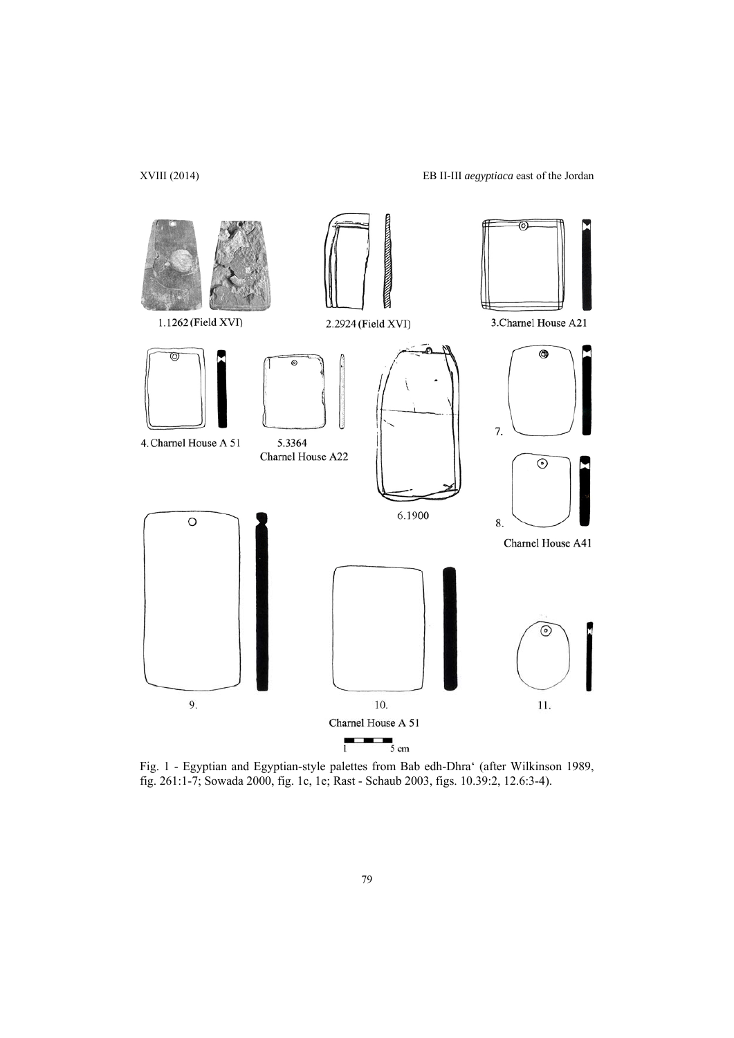

Fig. 1 - Egyptian and Egyptian-style palettes from Bab edh-Dhra' (after Wilkinson 1989, fig. 261:1-7; Sowada 2000, fig. 1c, 1e; Rast - Schaub 2003, figs. 10.39:2, 12.6:3-4).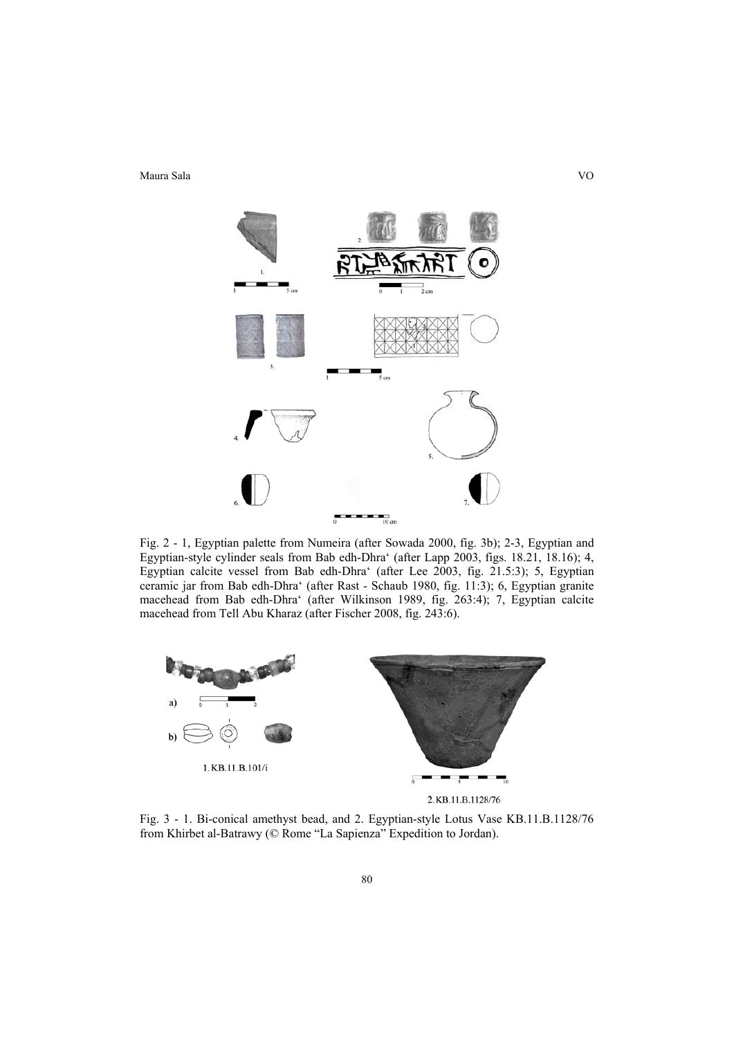

Fig. 2 - 1, Egyptian palette from Numeira (after Sowada 2000, fig. 3b); 2-3, Egyptian and Egyptian-style cylinder seals from Bab edh-Dhra' (after Lapp 2003, figs. 18.21, 18.16); 4, Egyptian calcite vessel from Bab edh-Dhra' (after Lee 2003, fig. 21.5:3); 5, Egyptian ceramic jar from Bab edh-Dhra' (after Rast - Schaub 1980, fig. 11:3); 6, Egyptian granite macehead from Bab edh-Dhra' (after Wilkinson 1989, fig. 263:4); 7, Egyptian calcite macehead from Tell Abu Kharaz (after Fischer 2008, fig. 243:6).



Fig. 3 - 1. Bi-conical amethyst bead, and 2. Egyptian-style Lotus Vase KB.11.B.1128/76 from Khirbet al-Batrawy (© Rome "La Sapienza" Expedition to Jordan).